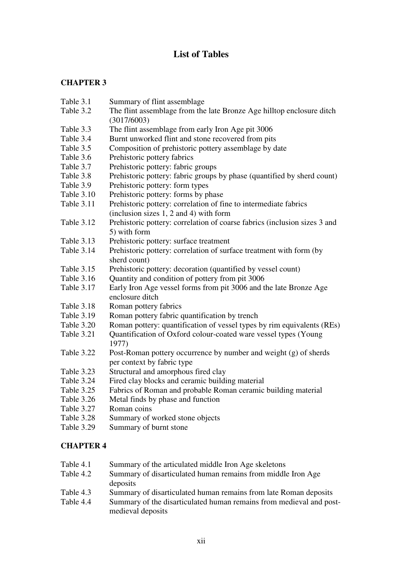# **List of Tables**

## **CHAPTER 3**

| Table 3.1  | Summary of flint assemblage                                               |
|------------|---------------------------------------------------------------------------|
| Table 3.2  | The flint assemblage from the late Bronze Age hilltop enclosure ditch     |
|            | (3017/6003)                                                               |
| Table 3.3  | The flint assemblage from early Iron Age pit 3006                         |
| Table 3.4  | Burnt unworked flint and stone recovered from pits                        |
| Table 3.5  | Composition of prehistoric pottery assemblage by date                     |
| Table 3.6  | Prehistoric pottery fabrics                                               |
| Table 3.7  | Prehistoric pottery: fabric groups                                        |
| Table 3.8  | Prehistoric pottery: fabric groups by phase (quantified by sherd count)   |
| Table 3.9  | Prehistoric pottery: form types                                           |
| Table 3.10 | Prehistoric pottery: forms by phase                                       |
| Table 3.11 | Prehistoric pottery: correlation of fine to intermediate fabrics          |
|            | (inclusion sizes $1, 2$ and $4$ ) with form                               |
| Table 3.12 | Prehistoric pottery: correlation of coarse fabrics (inclusion sizes 3 and |
|            | 5) with form                                                              |
| Table 3.13 | Prehistoric pottery: surface treatment                                    |
| Table 3.14 | Prehistoric pottery: correlation of surface treatment with form (by       |
|            | sherd count)                                                              |
| Table 3.15 | Prehistoric pottery: decoration (quantified by vessel count)              |
| Table 3.16 | Quantity and condition of pottery from pit 3006                           |
| Table 3.17 | Early Iron Age vessel forms from pit 3006 and the late Bronze Age         |
|            | enclosure ditch                                                           |
| Table 3.18 | Roman pottery fabrics                                                     |
| Table 3.19 | Roman pottery fabric quantification by trench                             |
| Table 3.20 | Roman pottery: quantification of vessel types by rim equivalents (REs)    |
| Table 3.21 | Quantification of Oxford colour-coated ware vessel types (Young           |
|            | 1977)                                                                     |
| Table 3.22 | Post-Roman pottery occurrence by number and weight (g) of sherds          |
|            | per context by fabric type                                                |
| Table 3.23 | Structural and amorphous fired clay                                       |
| Table 3.24 | Fired clay blocks and ceramic building material                           |
| Table 3.25 | Fabrics of Roman and probable Roman ceramic building material             |
| Table 3.26 | Metal finds by phase and function                                         |
| Table 3.27 | Roman coins                                                               |
| Table 3.28 | Summary of worked stone objects                                           |
| Table 3.29 | Summary of burnt stone                                                    |
|            |                                                                           |
|            |                                                                           |

| Table 4.1 | Summary of the articulated middle Iron Age skeletons                |
|-----------|---------------------------------------------------------------------|
| Table 4.2 | Summary of disarticulated human remains from middle Iron Age        |
|           | deposits                                                            |
| Table 4.3 | Summary of disarticulated human remains from late Roman deposits    |
| Table 4.4 | Summary of the disarticulated human remains from medieval and post- |
|           | medieval deposits                                                   |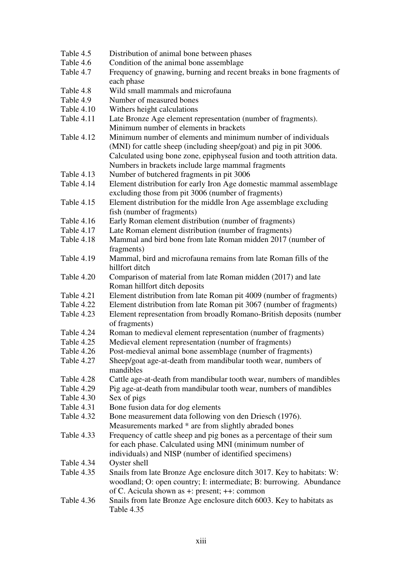| Table 4.5         | Distribution of animal bone between phases                                                                                                                                                                                                                          |
|-------------------|---------------------------------------------------------------------------------------------------------------------------------------------------------------------------------------------------------------------------------------------------------------------|
| Table 4.6         | Condition of the animal bone assemblage                                                                                                                                                                                                                             |
| Table 4.7         | Frequency of gnawing, burning and recent breaks in bone fragments of                                                                                                                                                                                                |
|                   | each phase                                                                                                                                                                                                                                                          |
| Table 4.8         | Wild small mammals and microfauna                                                                                                                                                                                                                                   |
| Table 4.9         | Number of measured bones                                                                                                                                                                                                                                            |
| Table 4.10        | Withers height calculations                                                                                                                                                                                                                                         |
| Table 4.11        | Late Bronze Age element representation (number of fragments).                                                                                                                                                                                                       |
|                   | Minimum number of elements in brackets                                                                                                                                                                                                                              |
| Table 4.12        | Minimum number of elements and minimum number of individuals<br>(MNI) for cattle sheep (including sheep/goat) and pig in pit 3006.<br>Calculated using bone zone, epiphyseal fusion and tooth attrition data.<br>Numbers in brackets include large mammal fragments |
| <b>Table 4.13</b> | Number of butchered fragments in pit 3006                                                                                                                                                                                                                           |
| Table 4.14        | Element distribution for early Iron Age domestic mammal assemblage                                                                                                                                                                                                  |
|                   | excluding those from pit 3006 (number of fragments)                                                                                                                                                                                                                 |
| Table 4.15        | Element distribution for the middle Iron Age assemblage excluding                                                                                                                                                                                                   |
|                   | fish (number of fragments)                                                                                                                                                                                                                                          |
| <b>Table 4.16</b> | Early Roman element distribution (number of fragments)                                                                                                                                                                                                              |
| Table 4.17        | Late Roman element distribution (number of fragments)                                                                                                                                                                                                               |
| Table 4.18        | Mammal and bird bone from late Roman midden 2017 (number of                                                                                                                                                                                                         |
|                   | fragments)                                                                                                                                                                                                                                                          |
| Table 4.19        | Mammal, bird and microfauna remains from late Roman fills of the<br>hillfort ditch                                                                                                                                                                                  |
| Table 4.20        | Comparison of material from late Roman midden (2017) and late                                                                                                                                                                                                       |
|                   | Roman hillfort ditch deposits                                                                                                                                                                                                                                       |
| Table 4.21        | Element distribution from late Roman pit 4009 (number of fragments)                                                                                                                                                                                                 |
| Table 4.22        | Element distribution from late Roman pit 3067 (number of fragments)                                                                                                                                                                                                 |
| Table 4.23        | Element representation from broadly Romano-British deposits (number<br>of fragments)                                                                                                                                                                                |
| Table 4.24        | Roman to medieval element representation (number of fragments)                                                                                                                                                                                                      |
| Table 4.25        | Medieval element representation (number of fragments)                                                                                                                                                                                                               |
| Table 4.26        | Post-medieval animal bone assemblage (number of fragments)                                                                                                                                                                                                          |
| Table 4.27        | Sheep/goat age-at-death from mandibular tooth wear, numbers of<br>mandibles                                                                                                                                                                                         |
| Table 4.28        | Cattle age-at-death from mandibular tooth wear, numbers of mandibles                                                                                                                                                                                                |
| Table 4.29        | Pig age-at-death from mandibular tooth wear, numbers of mandibles                                                                                                                                                                                                   |
| Table 4.30        | Sex of pigs                                                                                                                                                                                                                                                         |
| Table 4.31        | Bone fusion data for dog elements                                                                                                                                                                                                                                   |
| Table 4.32        | Bone measurement data following von den Driesch (1976).                                                                                                                                                                                                             |
|                   | Measurements marked * are from slightly abraded bones                                                                                                                                                                                                               |
| Table 4.33        | Frequency of cattle sheep and pig bones as a percentage of their sum                                                                                                                                                                                                |
|                   | for each phase. Calculated using MNI (minimum number of                                                                                                                                                                                                             |
|                   | individuals) and NISP (number of identified specimens)                                                                                                                                                                                                              |
| Table 4.34        | Oyster shell                                                                                                                                                                                                                                                        |
| Table 4.35        | Snails from late Bronze Age enclosure ditch 3017. Key to habitats: W:                                                                                                                                                                                               |
|                   | woodland; O: open country; I: intermediate; B: burrowing. Abundance                                                                                                                                                                                                 |
|                   | of C. Acicula shown as +: present; ++: common                                                                                                                                                                                                                       |
| Table 4.36        | Snails from late Bronze Age enclosure ditch 6003. Key to habitats as<br>Table 4.35                                                                                                                                                                                  |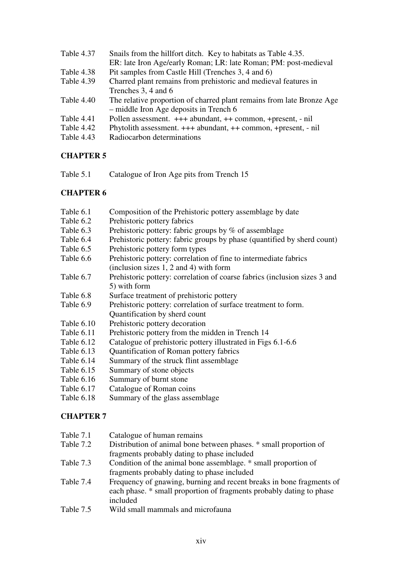| Table 4.37 | Snails from the hillfort ditch. Key to habitats as Table 4.35.<br>ER: late Iron Age/early Roman; LR: late Roman; PM: post-medieval |
|------------|------------------------------------------------------------------------------------------------------------------------------------|
| Table 4.38 | Pit samples from Castle Hill (Trenches 3, 4 and 6)                                                                                 |
| Table 4.39 | Charred plant remains from prehistoric and medieval features in                                                                    |
|            | Trenches 3, 4 and 6                                                                                                                |
| Table 4.40 | The relative proportion of charred plant remains from late Bronze Age<br>- middle Iron Age deposits in Trench 6                    |
| Table 4.41 | Pollen assessment. +++ abundant, ++ common, +present, - nil                                                                        |
| Table 4.42 | Phytolith assessment. $+++$ abundant, $++$ common, $+$ present, $-$ nil                                                            |
| Table 4.43 | Radiocarbon determinations                                                                                                         |

Table 5.1 Catalogue of Iron Age pits from Trench 15

## **CHAPTER 6**

| Table 6.1  | Composition of the Prehistoric pottery assemblage by date                 |
|------------|---------------------------------------------------------------------------|
| Table 6.2  | Prehistoric pottery fabrics                                               |
| Table 6.3  | Prehistoric pottery: fabric groups by % of assemblage                     |
| Table 6.4  | Prehistoric pottery: fabric groups by phase (quantified by sherd count)   |
| Table 6.5  | Prehistoric pottery form types                                            |
| Table 6.6  | Prehistoric pottery: correlation of fine to intermediate fabrics          |
|            | (inclusion sizes $1, 2$ and $4$ ) with form                               |
| Table 6.7  | Prehistoric pottery: correlation of coarse fabrics (inclusion sizes 3 and |
|            | 5) with form                                                              |
| Table 6.8  | Surface treatment of prehistoric pottery                                  |
| Table 6.9  | Prehistoric pottery: correlation of surface treatment to form.            |
|            | Quantification by sherd count                                             |
| Table 6.10 | Prehistoric pottery decoration                                            |
| Table 6.11 | Prehistoric pottery from the midden in Trench 14                          |
| Table 6.12 | Catalogue of prehistoric pottery illustrated in Figs 6.1-6.6              |
| Table 6.13 | Quantification of Roman pottery fabrics                                   |
| Table 6.14 | Summary of the struck flint assemblage                                    |
| Table 6.15 | Summary of stone objects                                                  |
| Table 6.16 | Summary of burnt stone                                                    |
| Table 6.17 | Catalogue of Roman coins                                                  |
| Table 6.18 | Summary of the glass assemblage                                           |

| Table 7.1 | Catalogue of human remains                                           |
|-----------|----------------------------------------------------------------------|
| Table 7.2 | Distribution of animal bone between phases. * small proportion of    |
|           | fragments probably dating to phase included                          |
| Table 7.3 | Condition of the animal bone assemblage. * small proportion of       |
|           | fragments probably dating to phase included                          |
| Table 7.4 | Frequency of gnawing, burning and recent breaks in bone fragments of |
|           | each phase. * small proportion of fragments probably dating to phase |
|           | included                                                             |
| Table 7.5 | Wild small mammals and microfauna                                    |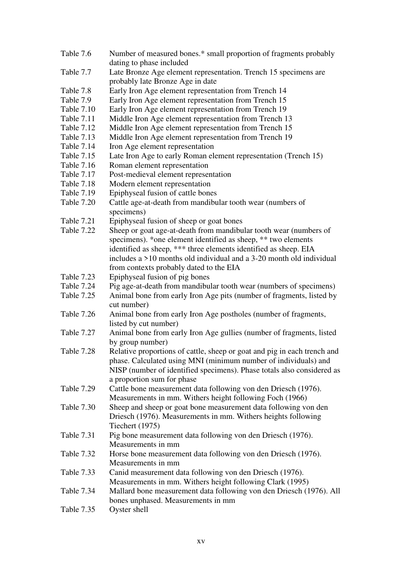| Table 7.6         | Number of measured bones.* small proportion of fragments probably                                                                        |
|-------------------|------------------------------------------------------------------------------------------------------------------------------------------|
|                   | dating to phase included                                                                                                                 |
| Table 7.7         | Late Bronze Age element representation. Trench 15 specimens are                                                                          |
|                   | probably late Bronze Age in date                                                                                                         |
| Table 7.8         | Early Iron Age element representation from Trench 14                                                                                     |
| Table 7.9         | Early Iron Age element representation from Trench 15                                                                                     |
| <b>Table 7.10</b> | Early Iron Age element representation from Trench 19                                                                                     |
| <b>Table 7.11</b> | Middle Iron Age element representation from Trench 13                                                                                    |
| Table 7.12        | Middle Iron Age element representation from Trench 15                                                                                    |
| <b>Table 7.13</b> | Middle Iron Age element representation from Trench 19                                                                                    |
| Table 7.14        | Iron Age element representation                                                                                                          |
| <b>Table 7.15</b> | Late Iron Age to early Roman element representation (Trench 15)                                                                          |
| <b>Table 7.16</b> | Roman element representation                                                                                                             |
| Table 7.17        | Post-medieval element representation                                                                                                     |
| Table 7.18        | Modern element representation                                                                                                            |
| Table 7.19        | Epiphyseal fusion of cattle bones                                                                                                        |
| Table 7.20        | Cattle age-at-death from mandibular tooth wear (numbers of                                                                               |
|                   | specimens)                                                                                                                               |
| <b>Table 7.21</b> | Epiphyseal fusion of sheep or goat bones                                                                                                 |
| Table 7.22        | Sheep or goat age-at-death from mandibular tooth wear (numbers of                                                                        |
|                   | specimens). *one element identified as sheep, ** two elements                                                                            |
|                   | identified as sheep, *** three elements identified as sheep. EIA<br>includes a >10 months old individual and a 3-20 month old individual |
|                   |                                                                                                                                          |
| Table 7.23        | from contexts probably dated to the EIA<br>Epiphyseal fusion of pig bones                                                                |
| Table 7.24        | Pig age-at-death from mandibular tooth wear (numbers of specimens)                                                                       |
| Table 7.25        | Animal bone from early Iron Age pits (number of fragments, listed by                                                                     |
|                   | cut number)                                                                                                                              |
| Table 7.26        | Animal bone from early Iron Age postholes (number of fragments,                                                                          |
|                   | listed by cut number)                                                                                                                    |
| Table 7.27        | Animal bone from early Iron Age gullies (number of fragments, listed                                                                     |
|                   | by group number)                                                                                                                         |
| Table 7.28        | Relative proportions of cattle, sheep or goat and pig in each trench and                                                                 |
|                   | phase. Calculated using MNI (minimum number of individuals) and                                                                          |
|                   | NISP (number of identified specimens). Phase totals also considered as                                                                   |
|                   | a proportion sum for phase                                                                                                               |
| <b>Table 7.29</b> | Cattle bone measurement data following von den Driesch (1976).                                                                           |
|                   | Measurements in mm. Withers height following Foch (1966)                                                                                 |
| Table 7.30        | Sheep and sheep or goat bone measurement data following von den                                                                          |
|                   | Driesch (1976). Measurements in mm. Withers heights following                                                                            |
|                   | <b>Tiechert</b> (1975)                                                                                                                   |
| Table 7.31        | Pig bone measurement data following von den Driesch (1976).                                                                              |
|                   | Measurements in mm                                                                                                                       |
| Table 7.32        | Horse bone measurement data following von den Driesch (1976).                                                                            |
|                   | Measurements in mm                                                                                                                       |
| Table 7.33        | Canid measurement data following von den Driesch (1976).                                                                                 |
|                   | Measurements in mm. Withers height following Clark (1995)                                                                                |
| Table 7.34        | Mallard bone measurement data following von den Driesch (1976). All                                                                      |
|                   | bones unphased. Measurements in mm                                                                                                       |
| Table 7.35        | Oyster shell                                                                                                                             |
|                   |                                                                                                                                          |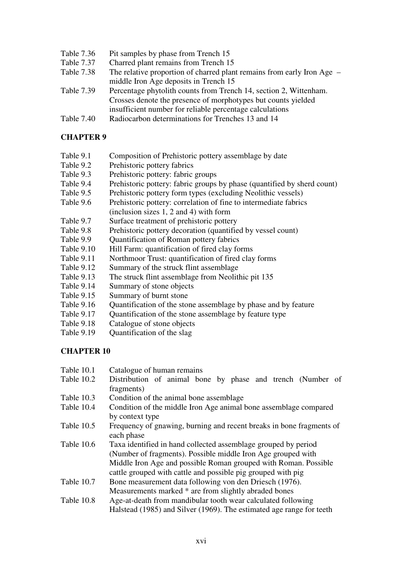| Table 7.36 | Pit samples by phase from Trench 15                                    |
|------------|------------------------------------------------------------------------|
| Table 7.37 | Charred plant remains from Trench 15                                   |
| Table 7.38 | The relative proportion of charred plant remains from early Iron Age – |
|            | middle Iron Age deposits in Trench 15                                  |
| Table 7.39 | Percentage phytolith counts from Trench 14, section 2, Wittenham.      |
|            | Crosses denote the presence of morphotypes but counts yielded          |
|            | insufficient number for reliable percentage calculations               |
| Table 7.40 | Radiocarbon determinations for Trenches 13 and 14                      |

| Table 9.1         | Composition of Prehistoric pottery assemblage by date                                                                                                                                                                            |
|-------------------|----------------------------------------------------------------------------------------------------------------------------------------------------------------------------------------------------------------------------------|
| Table 9.2         | Prehistoric pottery fabrics                                                                                                                                                                                                      |
| Table 9.3         | Prehistoric pottery: fabric groups                                                                                                                                                                                               |
| Table 9.4         | Prehistoric pottery: fabric groups by phase (quantified by sherd count)                                                                                                                                                          |
| Table 9.5         | Prehistoric pottery form types (excluding Neolithic vessels)                                                                                                                                                                     |
| Table 9.6         | Prehistoric pottery: correlation of fine to intermediate fabrics                                                                                                                                                                 |
|                   | (inclusion sizes $1, 2$ and $4$ ) with form                                                                                                                                                                                      |
| Table 9.7         | Surface treatment of prehistoric pottery                                                                                                                                                                                         |
| Table 9.8         | Prehistoric pottery decoration (quantified by vessel count)                                                                                                                                                                      |
| Table 9.9         | Quantification of Roman pottery fabrics                                                                                                                                                                                          |
| Table 9.10        | Hill Farm: quantification of fired clay forms                                                                                                                                                                                    |
| Table 9.11        | Northmoor Trust: quantification of fired clay forms                                                                                                                                                                              |
| Table 9.12        | Summary of the struck flint assemblage                                                                                                                                                                                           |
| Table 9.13        | The struck flint assemblage from Neolithic pit 135                                                                                                                                                                               |
| Table 9.14        | Summary of stone objects                                                                                                                                                                                                         |
| Table 9.15        | Summary of burnt stone                                                                                                                                                                                                           |
| Table 9.16        | Quantification of the stone assemblage by phase and by feature                                                                                                                                                                   |
| π 11 Ω 1 <i>π</i> | $\bigcap$ . The set of the set of the set of the set of the set of the set of the set of the set of the set of the set of the set of the set of the set of the set of the set of the set of the set of the set of the set of the |

- Table 9.17 Quantification of the stone assemblage by feature type<br>Table 9.18 Catalogue of stone objects
- Table 9.18 Catalogue of stone objects<br>Table 9.19 Quantification of the slag
- Quantification of the slag

| Catalogue of human remains                                                         |
|------------------------------------------------------------------------------------|
| Distribution of animal bone by phase and trench (Number of                         |
| fragments)                                                                         |
| Condition of the animal bone assemblage                                            |
| Condition of the middle Iron Age animal bone assemblage compared                   |
| by context type                                                                    |
| Frequency of gnawing, burning and recent breaks in bone fragments of<br>each phase |
| Taxa identified in hand collected assemblage grouped by period                     |
| (Number of fragments). Possible middle Iron Age grouped with                       |
| Middle Iron Age and possible Roman grouped with Roman. Possible                    |
| cattle grouped with cattle and possible pig grouped with pig                       |
| Bone measurement data following von den Driesch (1976).                            |
| Measurements marked * are from slightly abraded bones                              |
| Age-at-death from mandibular tooth wear calculated following                       |
| Halstead (1985) and Silver (1969). The estimated age range for teeth               |
|                                                                                    |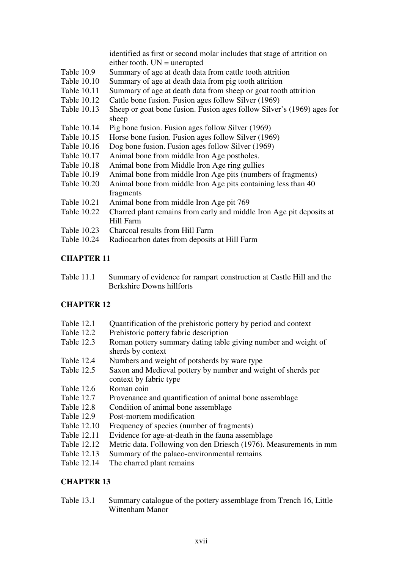|                    | identified as first or second molar includes that stage of attrition on<br>either tooth. $UN =$ unerupted |
|--------------------|-----------------------------------------------------------------------------------------------------------|
| Table 10.9         | Summary of age at death data from cattle tooth attrition                                                  |
| <b>Table 10.10</b> | Summary of age at death data from pig tooth attrition                                                     |
| Table 10.11        | Summary of age at death data from sheep or goat tooth attrition                                           |
| Table 10.12        | Cattle bone fusion. Fusion ages follow Silver (1969)                                                      |
| Table 10.13        | Sheep or goat bone fusion. Fusion ages follow Silver's (1969) ages for                                    |
|                    | sheep                                                                                                     |
| Table 10.14        | Pig bone fusion. Fusion ages follow Silver (1969)                                                         |
| Table 10.15        | Horse bone fusion. Fusion ages follow Silver (1969)                                                       |
| Table 10.16        | Dog bone fusion. Fusion ages follow Silver (1969)                                                         |
| Table 10.17        | Animal bone from middle Iron Age postholes.                                                               |
| <b>Table 10.18</b> | Animal bone from Middle Iron Age ring gullies                                                             |
| Table 10.19        | Animal bone from middle Iron Age pits (numbers of fragments)                                              |
| <b>Table 10.20</b> | Animal bone from middle Iron Age pits containing less than 40                                             |
|                    | fragments                                                                                                 |
| Table 10.21        | Animal bone from middle Iron Age pit 769                                                                  |
| Table 10.22        | Charred plant remains from early and middle Iron Age pit deposits at                                      |
|                    | Hill Farm                                                                                                 |
| Table 10.23        | Charcoal results from Hill Farm                                                                           |
| Table 10.24        | Radiocarbon dates from deposits at Hill Farm                                                              |

Table 11.1 Summary of evidence for rampart construction at Castle Hill and the Berkshire Downs hillforts

#### **CHAPTER 12**

- Table 12.1 Quantification of the prehistoric pottery by period and context
- Table 12.2 Prehistoric pottery fabric description
- Table 12.3 Roman pottery summary dating table giving number and weight of sherds by context
- Table 12.4 Numbers and weight of potsherds by ware type
- Table 12.5 Saxon and Medieval pottery by number and weight of sherds per context by fabric type
- Table 12.6 Roman coin
- Table 12.7 Provenance and quantification of animal bone assemblage
- Table 12.8 Condition of animal bone assemblage
- Table 12.9 Post-mortem modification
- Table 12.10 Frequency of species (number of fragments)
- Table 12.11 Evidence for age-at-death in the fauna assemblage
- Table 12.12 Metric data. Following von den Driesch (1976). Measurements in mm
- Table 12.13 Summary of the palaeo-environmental remains
- Table 12.14 The charred plant remains

#### **CHAPTER 13**

Table 13.1 Summary catalogue of the pottery assemblage from Trench 16, Little Wittenham Manor